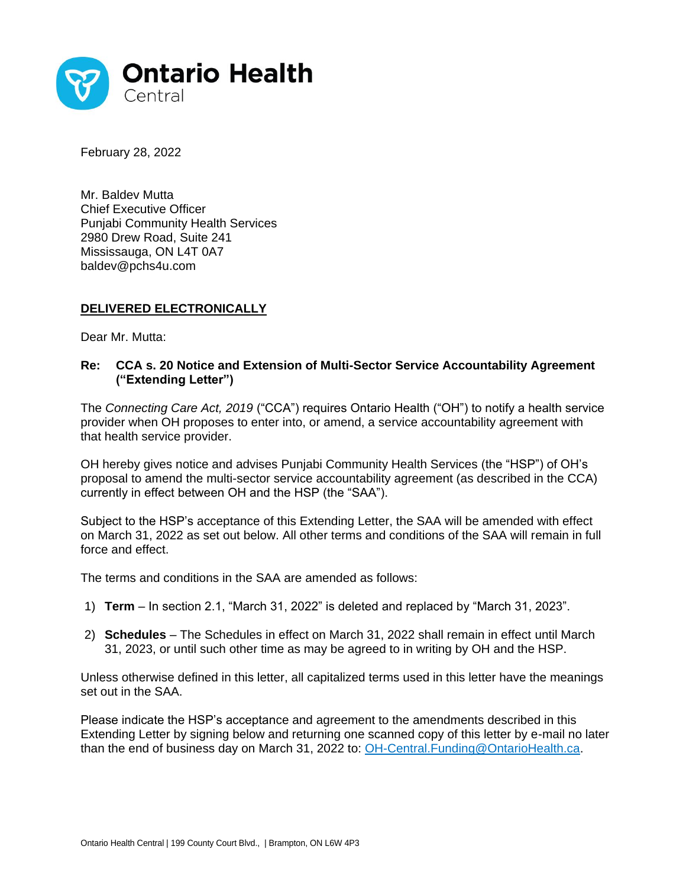

February 28, 2022

Mr. Baldev Mutta Chief Executive Officer Punjabi Community Health Services 2980 Drew Road, Suite 241 Mississauga, ON L4T 0A7 baldev@pchs4u.com

## **DELIVERED ELECTRONICALLY**

Dear Mr. Mutta:

## **Re: CCA s. 20 Notice and Extension of Multi-Sector Service Accountability Agreement ("Extending Letter")**

The *Connecting Care Act, 2019* ("CCA") requires Ontario Health ("OH") to notify a health service provider when OH proposes to enter into, or amend, a service accountability agreement with that health service provider.

OH hereby gives notice and advises Punjabi Community Health Services (the "HSP") of OH's proposal to amend the multi-sector service accountability agreement (as described in the CCA) currently in effect between OH and the HSP (the "SAA").

Subject to the HSP's acceptance of this Extending Letter, the SAA will be amended with effect on March 31, 2022 as set out below. All other terms and conditions of the SAA will remain in full force and effect.

The terms and conditions in the SAA are amended as follows:

- 1) **Term** In section 2.1, "March 31, 2022" is deleted and replaced by "March 31, 2023".
- 2) **Schedules**  The Schedules in effect on March 31, 2022 shall remain in effect until March 31, 2023, or until such other time as may be agreed to in writing by OH and the HSP.

Unless otherwise defined in this letter, all capitalized terms used in this letter have the meanings set out in the SAA.

Please indicate the HSP's acceptance and agreement to the amendments described in this Extending Letter by signing below and returning one scanned copy of this letter by e-mail no later than the end of business day on March 31, 2022 to: [OH-Central.Funding@OntarioHealth.ca.](mailto:OH-Central.Funding@OntarioHealth.ca)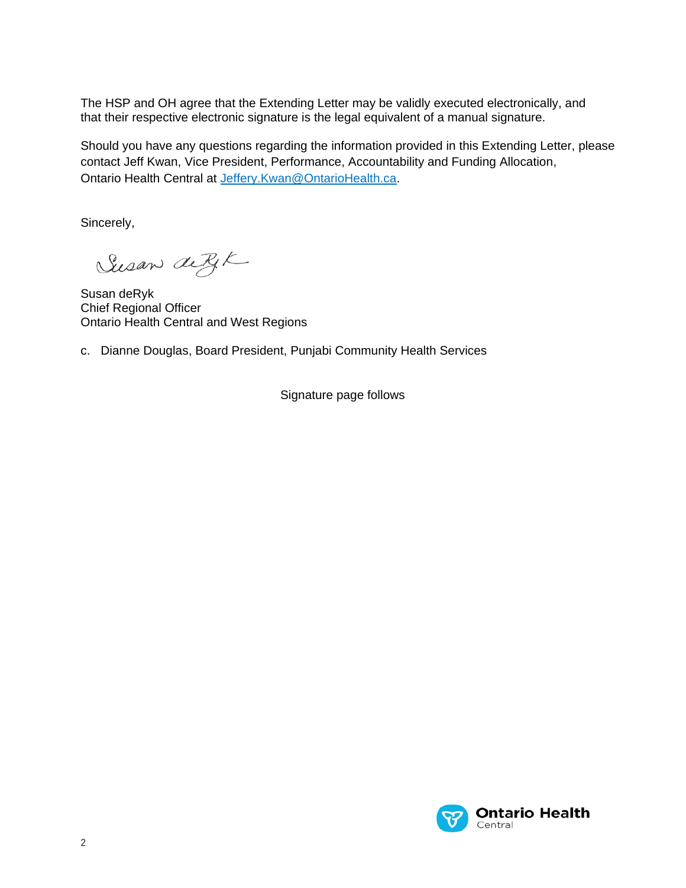The HSP and OH agree that the Extending Letter may be validly executed electronically, and that their respective electronic signature is the legal equivalent of a manual signature.

Should you have any questions regarding the information provided in this Extending Letter, please contact Jeff Kwan, Vice President, Performance, Accountability and Funding Allocation, Ontario Health Central at [Jeffery.Kwan@OntarioHealth.ca.](mailto:Jeffery.Kwan@OntarioHealth.ca)

Sincerely,

Susan detyk

Susan deRyk Chief Regional Officer Ontario Health Central and West Regions

c. Dianne Douglas, Board President, Punjabi Community Health Services

Signature page follows